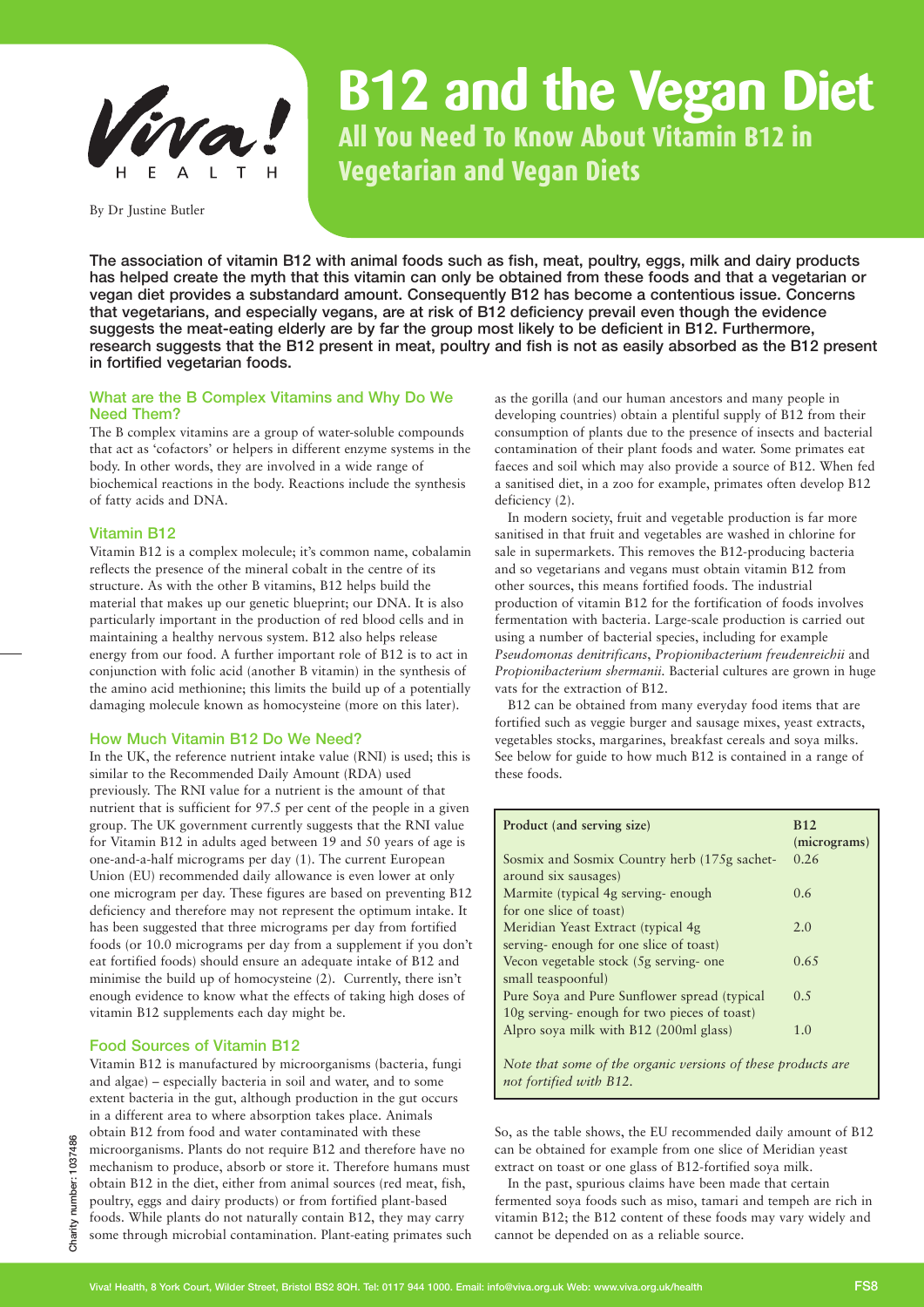

By Dr Justine Butler

# **B12 and the Vegan Diet All You Need To Know About Vitamin B12 in Vegetarian and Vegan Diets**

The association of vitamin B12 with animal foods such as fish, meat, poultry, eggs, milk and dairy products has helped create the myth that this vitamin can only be obtained from these foods and that a vegetarian or vegan diet provides a substandard amount. Consequently B12 has become a contentious issue. Concerns that vegetarians, and especially vegans, are at risk of B12 deficiency prevail even though the evidence suggests the meat-eating elderly are by far the group most likely to be deficient in B12. Furthermore, research suggests that the B12 present in meat, poultry and fish is not as easily absorbed as the B12 present in fortified vegetarian foods.

# What are the B Complex Vitamins and Why Do We Need Them?

The B complex vitamins are a group of water-soluble compounds that act as 'cofactors' or helpers in different enzyme systems in the body. In other words, they are involved in a wide range of biochemical reactions in the body. Reactions include the synthesis of fatty acids and DNA.

# Vitamin B12

Vitamin B12 is a complex molecule; it's common name, cobalamin reflects the presence of the mineral cobalt in the centre of its structure. As with the other B vitamins, B12 helps build the material that makes up our genetic blueprint; our DNA. It is also particularly important in the production of red blood cells and in maintaining a healthy nervous system. B12 also helps release energy from our food. A further important role of B12 is to act in conjunction with folic acid (another B vitamin) in the synthesis of the amino acid methionine; this limits the build up of a potentially damaging molecule known as homocysteine (more on this later).

# How Much Vitamin B12 Do We Need?

In the UK, the reference nutrient intake value (RNI) is used; this is similar to the Recommended Daily Amount (RDA) used previously. The RNI value for a nutrient is the amount of that nutrient that is sufficient for 97.5 per cent of the people in a given group. The UK government currently suggests that the RNI value for Vitamin B12 in adults aged between 19 and 50 years of age is one-and-a-half micrograms per day (1). The current European Union (EU) recommended daily allowance is even lower at only one microgram per day. These figures are based on preventing B12 deficiency and therefore may not represent the optimum intake. It has been suggested that three micrograms per day from fortified foods (or 10.0 micrograms per day from a supplement if you don't eat fortified foods) should ensure an adequate intake of B12 and minimise the build up of homocysteine (2). Currently, there isn't enough evidence to know what the effects of taking high doses of vitamin B12 supplements each day might be.

# Food Sources of Vitamin B12

Vitamin B12 is manufactured by microorganisms (bacteria, fungi and algae) – especially bacteria in soil and water, and to some extent bacteria in the gut, although production in the gut occurs in a different area to where absorption takes place. Animals obtain B12 from food and water contaminated with these microorganisms. Plants do not require B12 and therefore have no mechanism to produce, absorb or store it. Therefore humans must obtain B12 in the diet, either from animal sources (red meat, fish, poultry, eggs and dairy products) or from fortified plant-based foods. While plants do not naturally contain B12, they may carry some through microbial contamination. Plant-eating primates such

as the gorilla (and our human ancestors and many people in developing countries) obtain a plentiful supply of B12 from their consumption of plants due to the presence of insects and bacterial contamination of their plant foods and water. Some primates eat faeces and soil which may also provide a source of B12. When fed a sanitised diet, in a zoo for example, primates often develop B12 deficiency (2).

In modern society, fruit and vegetable production is far more sanitised in that fruit and vegetables are washed in chlorine for sale in supermarkets. This removes the B12-producing bacteria and so vegetarians and vegans must obtain vitamin B12 from other sources, this means fortified foods. The industrial production of vitamin B12 for the fortification of foods involves fermentation with bacteria. Large-scale production is carried out using a number of bacterial species, including for example *Pseudomonas denitrificans*, *Propionibacterium freudenreichii* and *Propionibacterium shermanii*. Bacterial cultures are grown in huge vats for the extraction of B12.

B12 can be obtained from many everyday food items that are fortified such as veggie burger and sausage mixes, yeast extracts, vegetables stocks, margarines, breakfast cereals and soya milks. See below for guide to how much B12 is contained in a range of these foods.

| Product (and serving size)                                                              | <b>B</b> 12<br>(micrograms) |
|-----------------------------------------------------------------------------------------|-----------------------------|
| Sosmix and Sosmix Country herb (175g sachet-                                            | 0.26                        |
| around six sausages)                                                                    |                             |
| Marmite (typical 4g serving-enough)                                                     | 0.6                         |
| for one slice of toast)                                                                 |                             |
| Meridian Yeast Extract (typical 4g)                                                     | 2.0                         |
| serving-enough for one slice of toast)                                                  |                             |
| Vecon vegetable stock (5g serving-one                                                   | 0.65                        |
| small teaspoonful)                                                                      |                             |
| Pure Soya and Pure Sunflower spread (typical                                            | 0.5                         |
| 10g serving-enough for two pieces of toast)                                             |                             |
| Alpro soya milk with B12 (200ml glass)                                                  | 1.0                         |
| Note that some of the organic versions of these products are<br>not fortified with B12. |                             |

So, as the table shows, the EU recommended daily amount of B12 can be obtained for example from one slice of Meridian yeast extract on toast or one glass of B12-fortified soya milk.

In the past, spurious claims have been made that certain fermented soya foods such as miso, tamari and tempeh are rich in vitamin B12; the B12 content of these foods may vary widely and cannot be depended on as a reliable source.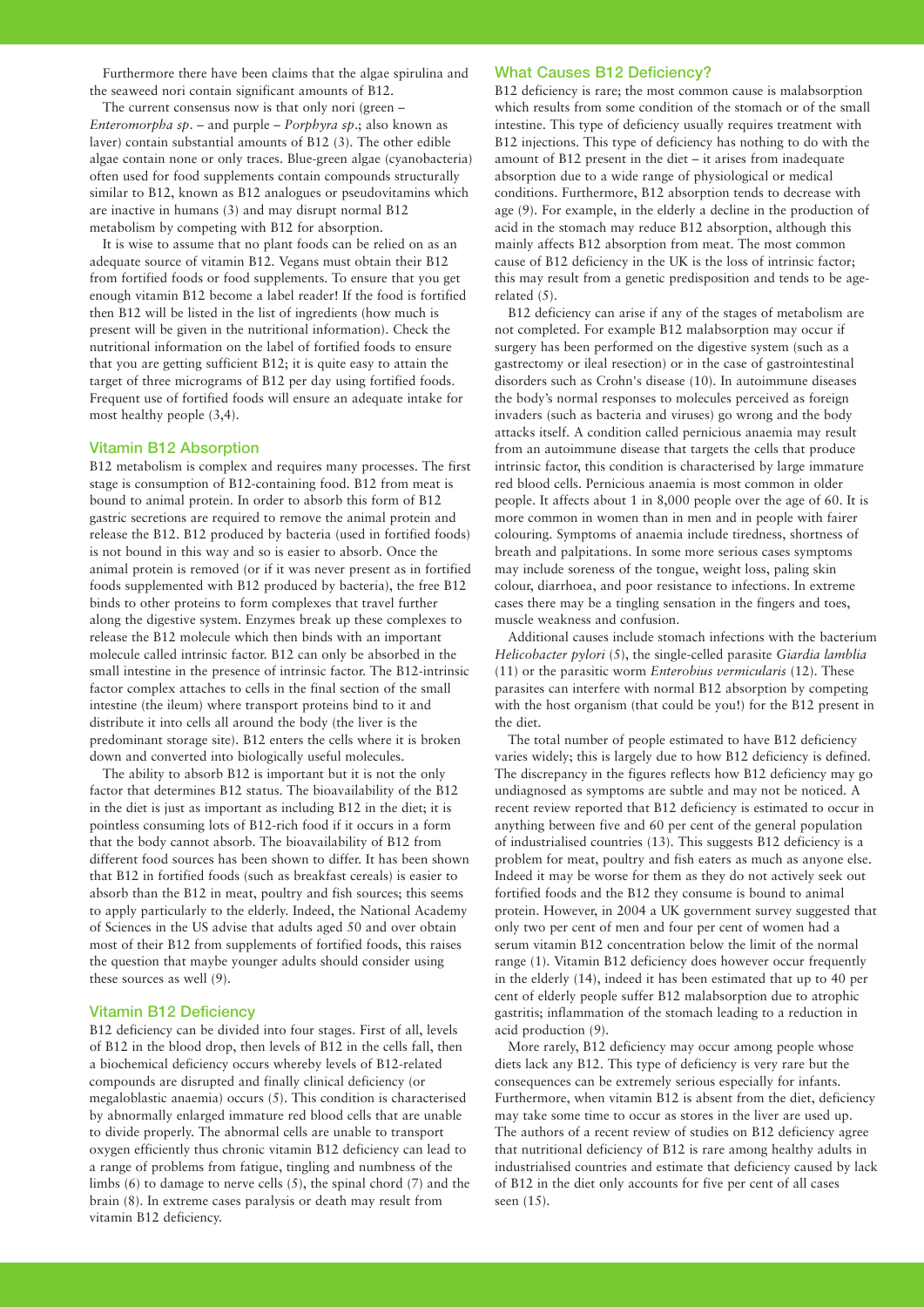Furthermore there have been claims that the algae spirulina and the seaweed nori contain significant amounts of B12.

The current consensus now is that only nori (green – *Enteromorpha sp*. – and purple – *Porphyra sp*.; also known as laver) contain substantial amounts of B12 (3). The other edible algae contain none or only traces. Blue-green algae (cyanobacteria) often used for food supplements contain compounds structurally similar to B12, known as B12 analogues or pseudovitamins which are inactive in humans (3) and may disrupt normal B12 metabolism by competing with B12 for absorption.

It is wise to assume that no plant foods can be relied on as an adequate source of vitamin B12. Vegans must obtain their B12 from fortified foods or food supplements. To ensure that you get enough vitamin B12 become a label reader! If the food is fortified then B12 will be listed in the list of ingredients (how much is present will be given in the nutritional information). Check the nutritional information on the label of fortified foods to ensure that you are getting sufficient B12; it is quite easy to attain the target of three micrograms of B12 per day using fortified foods. Frequent use of fortified foods will ensure an adequate intake for most healthy people (3,4).

#### Vitamin B12 Absorption

B12 metabolism is complex and requires many processes. The first stage is consumption of B12-containing food. B12 from meat is bound to animal protein. In order to absorb this form of B12 gastric secretions are required to remove the animal protein and release the B12. B12 produced by bacteria (used in fortified foods) is not bound in this way and so is easier to absorb. Once the animal protein is removed (or if it was never present as in fortified foods supplemented with B12 produced by bacteria), the free B12 binds to other proteins to form complexes that travel further along the digestive system. Enzymes break up these complexes to release the B12 molecule which then binds with an important molecule called intrinsic factor. B12 can only be absorbed in the small intestine in the presence of intrinsic factor. The B12-intrinsic factor complex attaches to cells in the final section of the small intestine (the ileum) where transport proteins bind to it and distribute it into cells all around the body (the liver is the predominant storage site). B12 enters the cells where it is broken down and converted into biologically useful molecules.

The ability to absorb B12 is important but it is not the only factor that determines B12 status. The bioavailability of the B12 in the diet is just as important as including B12 in the diet; it is pointless consuming lots of B12-rich food if it occurs in a form that the body cannot absorb. The bioavailability of B12 from different food sources has been shown to differ. It has been shown that B12 in fortified foods (such as breakfast cereals) is easier to absorb than the B12 in meat, poultry and fish sources; this seems to apply particularly to the elderly. Indeed, the National Academy of Sciences in the US advise that adults aged 50 and over obtain most of their B12 from supplements of fortified foods, this raises the question that maybe younger adults should consider using these sources as well (9).

# Vitamin B12 Deficiency

B12 deficiency can be divided into four stages. First of all, levels of B12 in the blood drop, then levels of B12 in the cells fall, then a biochemical deficiency occurs whereby levels of B12-related compounds are disrupted and finally clinical deficiency (or megaloblastic anaemia) occurs (5). This condition is characterised by abnormally enlarged immature red blood cells that are unable to divide properly. The abnormal cells are unable to transport oxygen efficiently thus chronic vitamin B12 deficiency can lead to a range of problems from fatigue, tingling and numbness of the limbs (6) to damage to nerve cells (5), the spinal chord (7) and the brain (8). In extreme cases paralysis or death may result from vitamin B12 deficiency.

#### What Causes B12 Deficiency?

B12 deficiency is rare; the most common cause is malabsorption which results from some condition of the stomach or of the small intestine. This type of deficiency usually requires treatment with B12 injections. This type of deficiency has nothing to do with the amount of B12 present in the diet – it arises from inadequate absorption due to a wide range of physiological or medical conditions. Furthermore, B12 absorption tends to decrease with age (9). For example, in the elderly a decline in the production of acid in the stomach may reduce B12 absorption, although this mainly affects B12 absorption from meat. The most common cause of B12 deficiency in the UK is the loss of intrinsic factor; this may result from a genetic predisposition and tends to be agerelated (5).

B12 deficiency can arise if any of the stages of metabolism are not completed. For example B12 malabsorption may occur if surgery has been performed on the digestive system (such as a gastrectomy or ileal resection) or in the case of gastrointestinal disorders such as Crohn's disease (10). In autoimmune diseases the body's normal responses to molecules perceived as foreign invaders (such as bacteria and viruses) go wrong and the body attacks itself. A condition called pernicious anaemia may result from an autoimmune disease that targets the cells that produce intrinsic factor, this condition is characterised by large immature red blood cells. Pernicious anaemia is most common in older people. It affects about 1 in 8,000 people over the age of 60. It is more common in women than in men and in people with fairer colouring. Symptoms of anaemia include tiredness, shortness of breath and palpitations. In some more serious cases symptoms may include soreness of the tongue, weight loss, paling skin colour, diarrhoea, and poor resistance to infections. In extreme cases there may be a tingling sensation in the fingers and toes, muscle weakness and confusion.

Additional causes include stomach infections with the bacterium *Helicobacter pylori* (5), the single-celled parasite *Giardia lamblia* (11) or the parasitic worm *Enterobius vermicularis* (12). These parasites can interfere with normal B12 absorption by competing with the host organism (that could be you!) for the B12 present in the diet.

The total number of people estimated to have B12 deficiency varies widely; this is largely due to how B12 deficiency is defined. The discrepancy in the figures reflects how B12 deficiency may go undiagnosed as symptoms are subtle and may not be noticed. A recent review reported that B12 deficiency is estimated to occur in anything between five and 60 per cent of the general population of industrialised countries (13). This suggests B12 deficiency is a problem for meat, poultry and fish eaters as much as anyone else. Indeed it may be worse for them as they do not actively seek out fortified foods and the B12 they consume is bound to animal protein. However, in 2004 a UK government survey suggested that only two per cent of men and four per cent of women had a serum vitamin B12 concentration below the limit of the normal range (1). Vitamin B12 deficiency does however occur frequently in the elderly (14), indeed it has been estimated that up to 40 per cent of elderly people suffer B12 malabsorption due to atrophic gastritis; inflammation of the stomach leading to a reduction in acid production (9).

More rarely, B12 deficiency may occur among people whose diets lack any B12. This type of deficiency is very rare but the consequences can be extremely serious especially for infants. Furthermore, when vitamin B12 is absent from the diet, deficiency may take some time to occur as stores in the liver are used up. The authors of a recent review of studies on B12 deficiency agree that nutritional deficiency of B12 is rare among healthy adults in industrialised countries and estimate that deficiency caused by lack of B12 in the diet only accounts for five per cent of all cases seen (15).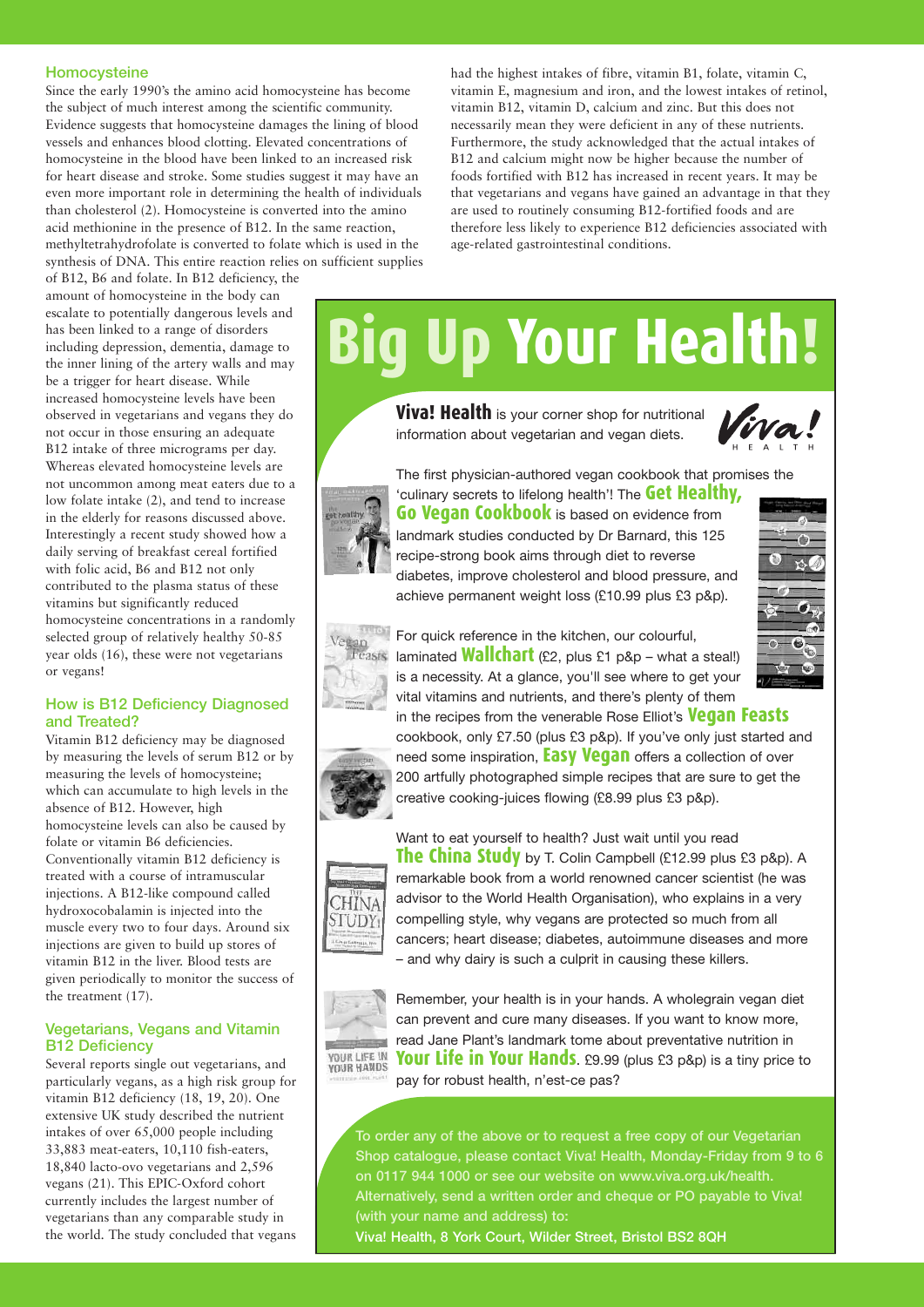### Homocysteine

Since the early 1990's the amino acid homocysteine has become the subject of much interest among the scientific community. Evidence suggests that homocysteine damages the lining of blood vessels and enhances blood clotting. Elevated concentrations of homocysteine in the blood have been linked to an increased risk for heart disease and stroke. Some studies suggest it may have an even more important role in determining the health of individuals than cholesterol (2). Homocysteine is converted into the amino acid methionine in the presence of B12. In the same reaction, methyltetrahydrofolate is converted to folate which is used in the synthesis of DNA. This entire reaction relies on sufficient supplies

vitamin E, magnesium and iron, and the lowest intakes of retinol, vitamin B12, vitamin D, calcium and zinc. But this does not necessarily mean they were deficient in any of these nutrients. Furthermore, the study acknowledged that the actual intakes of B12 and calcium might now be higher because the number of foods fortified with B12 has increased in recent years. It may be that vegetarians and vegans have gained an advantage in that they are used to routinely consuming B12-fortified foods and are therefore less likely to experience B12 deficiencies associated with age-related gastrointestinal conditions.

had the highest intakes of fibre, vitamin B1, folate, vitamin C,

of B12, B6 and folate. In B12 deficiency, the amount of homocysteine in the body can escalate to potentially dangerous levels and has been linked to a range of disorders including depression, dementia, damage to the inner lining of the artery walls and may be a trigger for heart disease. While increased homocysteine levels have been observed in vegetarians and vegans they do not occur in those ensuring an adequate B12 intake of three micrograms per day. Whereas elevated homocysteine levels are not uncommon among meat eaters due to a low folate intake (2), and tend to increase in the elderly for reasons discussed above. Interestingly a recent study showed how a daily serving of breakfast cereal fortified with folic acid, B6 and B12 not only contributed to the plasma status of these vitamins but significantly reduced homocysteine concentrations in a randomly selected group of relatively healthy 50-85 year olds (16), these were not vegetarians or vegans!

# How is B12 Deficiency Diagnosed and Treated?

Vitamin B12 deficiency may be diagnosed by measuring the levels of serum B12 or by measuring the levels of homocysteine; which can accumulate to high levels in the absence of B12. However, high homocysteine levels can also be caused by folate or vitamin B6 deficiencies. Conventionally vitamin B12 deficiency is treated with a course of intramuscular injections. A B12-like compound called hydroxocobalamin is injected into the muscle every two to four days. Around six injections are given to build up stores of vitamin B12 in the liver. Blood tests are given periodically to monitor the success of the treatment (17).

# Vegetarians, Vegans and Vitamin B12 Deficiency

Several reports single out vegetarians, and particularly vegans, as a high risk group for vitamin B12 deficiency (18, 19, 20). One extensive UK study described the nutrient intakes of over 65,000 people including 33,883 meat-eaters, 10,110 fish-eaters, 18,840 lacto-ovo vegetarians and 2,596 vegans (21). This EPIC-Oxford cohort currently includes the largest number of vegetarians than any comparable study in the world. The study concluded that vegans

# **Big Up Your Health!**

**Viva! Health** is your corner shop for nutritional information about vegetarian and vegan diets.





landmark studies conducted by Dr Barnard, this 125 recipe-strong book aims through diet to reverse diabetes, improve cholesterol and blood pressure, and achieve permanent weight loss (£10.99 plus £3 p&p).



For quick reference in the kitchen, our colourful, laminated **Wallchart** (£2, plus £1 p&p – what <sup>a</sup> steal!) is a necessity. At a glance, you'll see where to get your vital vitamins and nutrients, and there's plenty of them in the recipes from the venerable Rose Elliot's **Vegan Feasts**

cookbook, only £7.50 (plus £3 p&p). If you've only just started and need some inspiration, **Easy Vegan** offers <sup>a</sup> collection of over 200 artfully photographed simple recipes that are sure to get the creative cooking-juices flowing (£8.99 plus £3 p&p).



Want to eat yourself to health? Just wait until you read **The China Study** by T. Colin Campbell (£12.99 plus £3 p&p). <sup>A</sup> remarkable book from a world renowned cancer scientist (he was advisor to the World Health Organisation), who explains in a very compelling style, why vegans are protected so much from all cancers; heart disease; diabetes, autoimmune diseases and more – and why dairy is such a culprit in causing these killers.



Remember, your health is in your hands. A wholegrain vegan diet can prevent and cure many diseases. If you want to know more, read Jane Plant's landmark tome about preventative nutrition in **Your Life in Your Hands**. £9.99 (plus £3 p&p) is <sup>a</sup> tiny price to pay for robust health, n'est-ce pas?

To order any of the above or to request a free copy of our Vegetarian Shop catalogue, please contact Viva! Health, Monday-Friday from 9 to 6 on 0117 944 1000 or see our website on www.viva.org.uk/health. Alternatively, send a written order and cheque or PO payable to Viva! (with your name and address) to:

Viva! Health, 8 York Court, Wilder Street, Bristol BS2 8QH